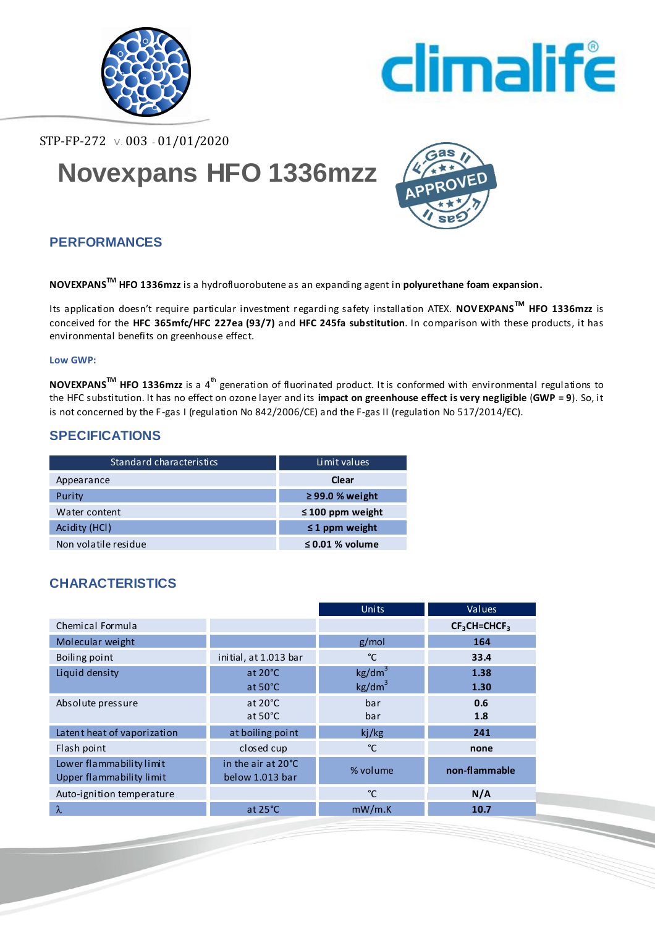



STP-FP-272 V. 003 - 01/01/2020

# **Novexpans HFO 1336mzz**



## **PERFORMANCES**

**NOVEXPANSTM HFO 1336mzz** is a hydrofluorobutene as an expanding agent in **polyurethane foam expansion.**

Its application doesn't require particular investment regardi ng safety installation ATEX. **NOVEXPANSTM HFO 1336mzz** is conceived for the **HFC 365mfc/HFC 227ea (93/7)** and **HFC 245fa substitution**. In comparison with these products, it has environmental benefits on greenhouse effec t.

#### **Low GWP:**

**NOVEXPANS<sup>™</sup> HFO 1336mzz** is a 4<sup>th</sup> generation of fluorinated product. It is conformed with environmental regulations to the HFC substitution. It has no effect on ozone layer and its **impact on greenhouse effect is very negligible** (**GWP = 9**). So, it is not concerned by the F-gas I (regulation No 842/2006/CE) and the F-gas II (regulation No 517/2014/EC).

## **SPECIFICATIONS**

| Standard characteristics | Limit values          |
|--------------------------|-----------------------|
| Appearance               | Clear                 |
| Purity                   | $\geq$ 99.0 % weight  |
| Water content            | $\leq 100$ ppm weight |
| Acidity (HCI)            | $\leq$ 1 ppm weight   |
| Non volatile residue     | $\leq$ 0.01 % volume  |

## **CHARACTERISTICS**

|                             |                       | Units              | Values        |  |
|-----------------------------|-----------------------|--------------------|---------------|--|
| Chemical Formula            |                       |                    | $CF3CH=CHCF3$ |  |
| Molecular weight            |                       | g/mol              | 164           |  |
| Boiling point               | initial, at 1.013 bar | °C                 | 33.4          |  |
| Liquid density              | at 20°C               | kg/dm <sup>3</sup> | 1.38          |  |
|                             | at $50^{\circ}$ C     | kg/dm <sup>3</sup> | 1.30          |  |
| Absolute pressure           | at $20^{\circ}$ C     | bar                | 0.6           |  |
|                             | at $50^{\circ}$ C     | bar                | 1.8           |  |
| Latent heat of vaporization | at boiling point      | ki/kg              | 241           |  |
| Flash point                 | closed cup            | °C                 | none          |  |
| Lower flammability limit    | in the air at 20°C    | % volume           | non-flammable |  |
| Upper flammability limit    | below 1.013 bar       |                    |               |  |
| Auto-ignition temperature   |                       | °C                 | N/A           |  |
| $\lambda$                   | at $25^{\circ}$ C     | mW/m.K             | 10.7          |  |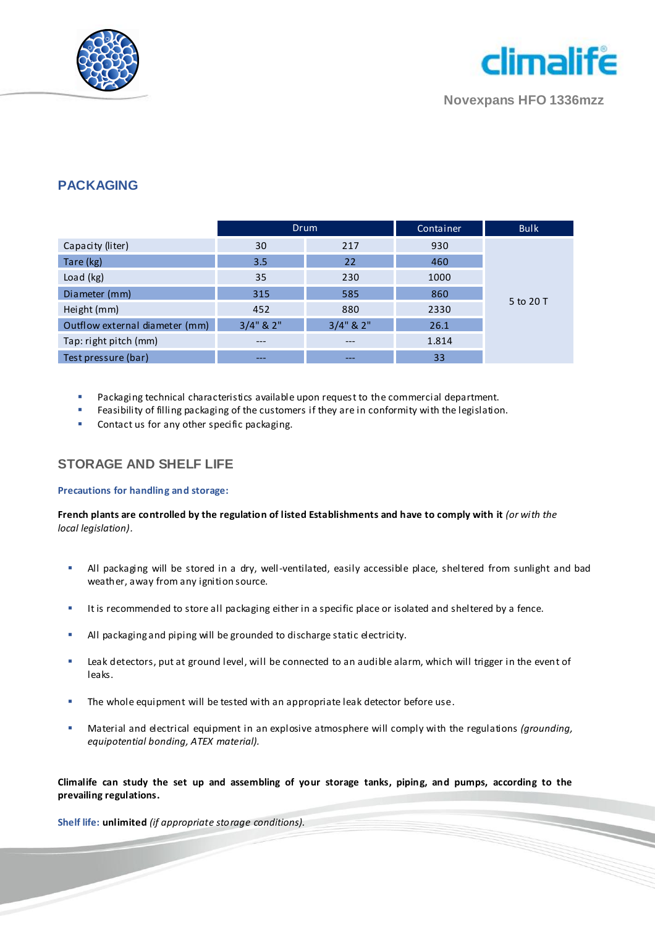



**Novexpans HFO 1336mzz**

### **PACKAGING**

|                                | <b>Drum</b>     |                 | Container | <b>Bulk</b> |
|--------------------------------|-----------------|-----------------|-----------|-------------|
| Capacity (liter)               | 30              | 217             | 930       |             |
| Tare (kg)                      | 3.5             | 22              | 460       |             |
| Load (kg)                      | 35              | 230             | 1000      |             |
| Diameter (mm)                  | 315             | 585             | 860       | 5 to 20 T   |
| Height (mm)                    | 452             | 880             | 2330      |             |
| Outflow external diameter (mm) | $3/4$ " & $2$ " | $3/4$ " & $2$ " | 26.1      |             |
| Tap: right pitch (mm)          | ---             | ---             | 1.814     |             |
| Test pressure (bar)            | ---             | ---             | 33        |             |

- Packaging technical characteristics available upon request to the commercial department.
- Feasibility of filling packaging of the customers if they are in conformity with the legislation.
- Contact us for any other specific packaging.

#### **STORAGE AND SHELF LIFE**

#### **Precautions for handling and storage:**

**French plants are controlled by the regulation of listed Establishments and have to comply with it** *(or with the local legislation).*

- All packaging will be stored in a dry, well-ventilated, easily accessible place, sheltered from sunlight and bad weather, away from any ignition source.
- It is recommended to store all packaging either in a specific place or isolated and sheltered by a fence.
- All packaging and piping will be grounded to discharge static electricity.
- Leak detectors, put at ground level, will be connected to an audible alarm, which will trigger in the event of leaks.
- The whole equipment will be tested with an appropriate leak detector before use.
- Material and electrical equipment in an explosive atmosphere will comply with the regulations *(grounding, equipotential bonding, ATEX material).*

**Climalife can study the set up and assembling of your storage tanks, piping, and pumps, according to the prevailing regulations.**

**Shelf life: unlimited** *(if appropriate storage conditions).*